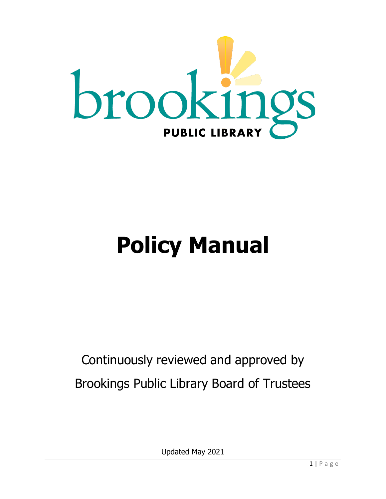

# **Policy Manual**

## Continuously reviewed and approved by Brookings Public Library Board of Trustees

Updated May 2021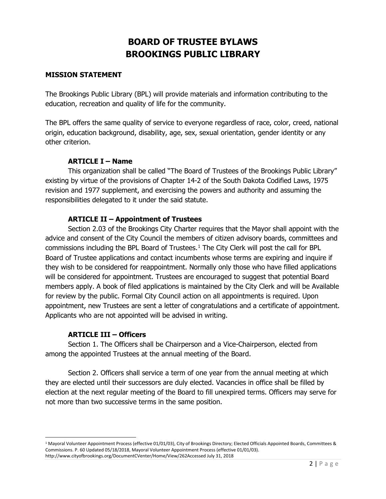## **BOARD OF TRUSTEE BYLAWS BROOKINGS PUBLIC LIBRARY**

#### **MISSION STATEMENT**

The Brookings Public Library (BPL) will provide materials and information contributing to the education, recreation and quality of life for the community.

The BPL offers the same quality of service to everyone regardless of race, color, creed, national origin, education background, disability, age, sex, sexual orientation, gender identity or any other criterion.

#### **ARTICLE I – Name**

This organization shall be called "The Board of Trustees of the Brookings Public Library" existing by virtue of the provisions of Chapter 14-2 of the South Dakota Codified Laws, 1975 revision and 1977 supplement, and exercising the powers and authority and assuming the responsibilities delegated to it under the said statute.

#### **ARTICLE II – Appointment of Trustees**

Section 2.03 of the Brookings City Charter requires that the Mayor shall appoint with the advice and consent of the City Council the members of citizen advisory boards, committees and commissions including the BPL Board of Trustees.<sup>[1](#page-1-0)</sup> The City Clerk will post the call for BPL Board of Trustee applications and contact incumbents whose terms are expiring and inquire if they wish to be considered for reappointment. Normally only those who have filled applications will be considered for appointment. Trustees are encouraged to suggest that potential Board members apply. A book of filed applications is maintained by the City Clerk and will be Available for review by the public. Formal City Council action on all appointments is required. Upon appointment, new Trustees are sent a letter of congratulations and a certificate of appointment. Applicants who are not appointed will be advised in writing.

#### **ARTICLE III – Officers**

Section 1. The Officers shall be Chairperson and a Vice-Chairperson, elected from among the appointed Trustees at the annual meeting of the Board.

Section 2. Officers shall service a term of one year from the annual meeting at which they are elected until their successors are duly elected. Vacancies in office shall be filled by election at the next regular meeting of the Board to fill unexpired terms. Officers may serve for not more than two successive terms in the same position.

<span id="page-1-0"></span> <sup>1</sup> Mayoral Volunteer Appointment Process (effective 01/01/03), City of Brookings Directory; Elected Officials Appointed Boards, Committees & Commissions. P. 60 Updated 05/18/2018, Mayoral Volunteer Appointment Process (effective 01/01/03). [http://www.cityofbrookings.org/DocumentCVenter/Home/View/262Accessed July 31,](http://www.cityofbrookings.org/DocumentCVenter/Home/View/262Accessed%20July%2031) 2018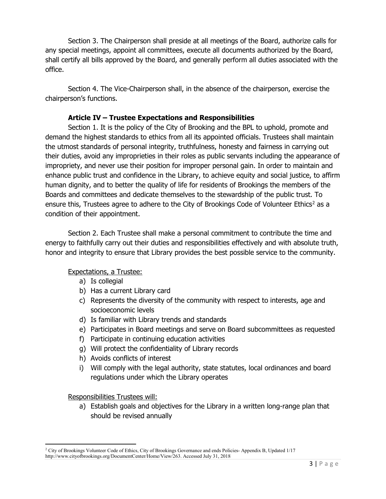Section 3. The Chairperson shall preside at all meetings of the Board, authorize calls for any special meetings, appoint all committees, execute all documents authorized by the Board, shall certify all bills approved by the Board, and generally perform all duties associated with the office.

Section 4. The Vice-Chairperson shall, in the absence of the chairperson, exercise the chairperson's functions.

#### **Article IV – Trustee Expectations and Responsibilities**

Section 1. It is the policy of the City of Brooking and the BPL to uphold, promote and demand the highest standards to ethics from all its appointed officials. Trustees shall maintain the utmost standards of personal integrity, truthfulness, honesty and fairness in carrying out their duties, avoid any improprieties in their roles as public servants including the appearance of impropriety, and never use their position for improper personal gain. In order to maintain and enhance public trust and confidence in the Library, to achieve equity and social justice, to affirm human dignity, and to better the quality of life for residents of Brookings the members of the Boards and committees and dedicate themselves to the stewardship of the public trust. To ensure this, Trustees agree to adhere to the City of Brookings Code of Volunteer Ethics<sup>[2](#page-2-0)</sup> as a condition of their appointment.

Section 2. Each Trustee shall make a personal commitment to contribute the time and energy to faithfully carry out their duties and responsibilities effectively and with absolute truth, honor and integrity to ensure that Library provides the best possible service to the community.

#### Expectations, a Trustee:

- a) Is collegial
- b) Has a current Library card
- c) Represents the diversity of the community with respect to interests, age and socioeconomic levels
- d) Is familiar with Library trends and standards
- e) Participates in Board meetings and serve on Board subcommittees as requested
- f) Participate in continuing education activities
- g) Will protect the confidentiality of Library records
- h) Avoids conflicts of interest
- i) Will comply with the legal authority, state statutes, local ordinances and board regulations under which the Library operates

Responsibilities Trustees will:

 $\overline{a}$ 

a) Establish goals and objectives for the Library in a written long-range plan that should be revised annually

<span id="page-2-0"></span><sup>&</sup>lt;sup>2</sup> City of Brookings Volunteer Code of Ethics, City of Brookings Governance and ends Policies- Appendix B, Updated 1/17 [http://www.cityofbrookings.org/DocumentCenter/Home/View/263. Accessed](http://www.cityofbrookings.org/DocumentCenter/Home/View/263.%20Accessed) July 31, 2018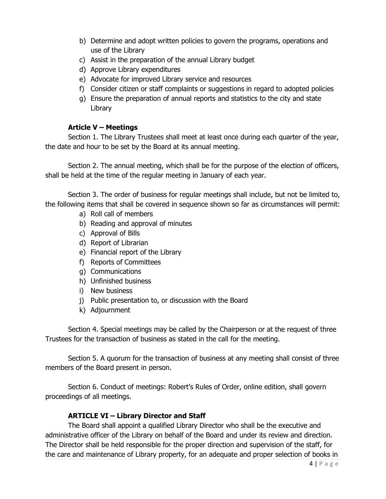- b) Determine and adopt written policies to govern the programs, operations and use of the Library
- c) Assist in the preparation of the annual Library budget
- d) Approve Library expenditures
- e) Advocate for improved Library service and resources
- f) Consider citizen or staff complaints or suggestions in regard to adopted policies
- g) Ensure the preparation of annual reports and statistics to the city and state Library

#### **Article V – Meetings**

Section 1. The Library Trustees shall meet at least once during each quarter of the year, the date and hour to be set by the Board at its annual meeting.

Section 2. The annual meeting, which shall be for the purpose of the election of officers, shall be held at the time of the regular meeting in January of each year.

Section 3. The order of business for regular meetings shall include, but not be limited to, the following items that shall be covered in sequence shown so far as circumstances will permit:

- a) Roll call of members
- b) Reading and approval of minutes
- c) Approval of Bills
- d) Report of Librarian
- e) Financial report of the Library
- f) Reports of Committees
- g) Communications
- h) Unfinished business
- i) New business
- j) Public presentation to, or discussion with the Board
- k) Adjournment

Section 4. Special meetings may be called by the Chairperson or at the request of three Trustees for the transaction of business as stated in the call for the meeting.

Section 5. A quorum for the transaction of business at any meeting shall consist of three members of the Board present in person.

Section 6. Conduct of meetings: Robert's Rules of Order, online edition, shall govern proceedings of all meetings.

#### **ARTICLE VI – Library Director and Staff**

The Board shall appoint a qualified Library Director who shall be the executive and administrative officer of the Library on behalf of the Board and under its review and direction. The Director shall be held responsible for the proper direction and supervision of the staff, for the care and maintenance of Library property, for an adequate and proper selection of books in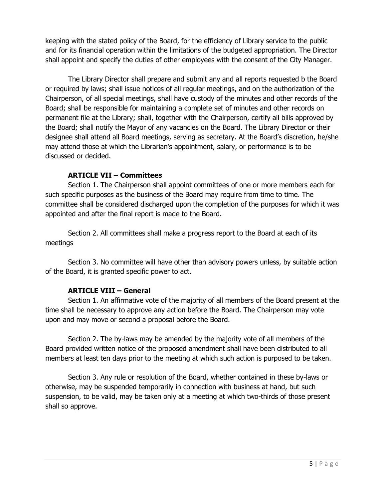keeping with the stated policy of the Board, for the efficiency of Library service to the public and for its financial operation within the limitations of the budgeted appropriation. The Director shall appoint and specify the duties of other employees with the consent of the City Manager.

The Library Director shall prepare and submit any and all reports requested b the Board or required by laws; shall issue notices of all regular meetings, and on the authorization of the Chairperson, of all special meetings, shall have custody of the minutes and other records of the Board; shall be responsible for maintaining a complete set of minutes and other records on permanent file at the Library; shall, together with the Chairperson, certify all bills approved by the Board; shall notify the Mayor of any vacancies on the Board. The Library Director or their designee shall attend all Board meetings, serving as secretary. At the Board's discretion, he/she may attend those at which the Librarian's appointment, salary, or performance is to be discussed or decided.

#### **ARTICLE VII – Committees**

Section 1. The Chairperson shall appoint committees of one or more members each for such specific purposes as the business of the Board may require from time to time. The committee shall be considered discharged upon the completion of the purposes for which it was appointed and after the final report is made to the Board.

Section 2. All committees shall make a progress report to the Board at each of its meetings

Section 3. No committee will have other than advisory powers unless, by suitable action of the Board, it is granted specific power to act.

#### **ARTICLE VIII – General**

Section 1. An affirmative vote of the majority of all members of the Board present at the time shall be necessary to approve any action before the Board. The Chairperson may vote upon and may move or second a proposal before the Board.

Section 2. The by-laws may be amended by the majority vote of all members of the Board provided written notice of the proposed amendment shall have been distributed to all members at least ten days prior to the meeting at which such action is purposed to be taken.

Section 3. Any rule or resolution of the Board, whether contained in these by-laws or otherwise, may be suspended temporarily in connection with business at hand, but such suspension, to be valid, may be taken only at a meeting at which two-thirds of those present shall so approve.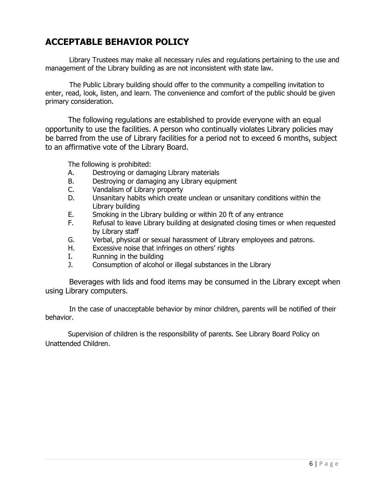## **ACCEPTABLE BEHAVIOR POLICY**

Library Trustees may make all necessary rules and regulations pertaining to the use and management of the Library building as are not inconsistent with state law.

The Public Library building should offer to the community a compelling invitation to enter, read, look, listen, and learn. The convenience and comfort of the public should be given primary consideration.

The following regulations are established to provide everyone with an equal opportunity to use the facilities. A person who continually violates Library policies may be barred from the use of Library facilities for a period not to exceed 6 months, subject to an affirmative vote of the Library Board.

The following is prohibited:

- A. Destroying or damaging Library materials
- B. Destroying or damaging any Library equipment<br>C. Vandalism of Library property
- Vandalism of Library property
- D. Unsanitary habits which create unclean or unsanitary conditions within the Library building
- E. Smoking in the Library building or within 20 ft of any entrance<br>F. Refusal to leave Library building at designated closing times or
- Refusal to leave Library building at designated closing times or when requested by Library staff
- G. Verbal, physical or sexual harassment of Library employees and patrons.
- H. Excessive noise that infringes on others' rights<br>I. Bunning in the building
- Running in the building
- J. Consumption of alcohol or illegal substances in the Library

Beverages with lids and food items may be consumed in the Library except when using Library computers.

In the case of unacceptable behavior by minor children, parents will be notified of their behavior.

Supervision of children is the responsibility of parents. See Library Board Policy on Unattended Children.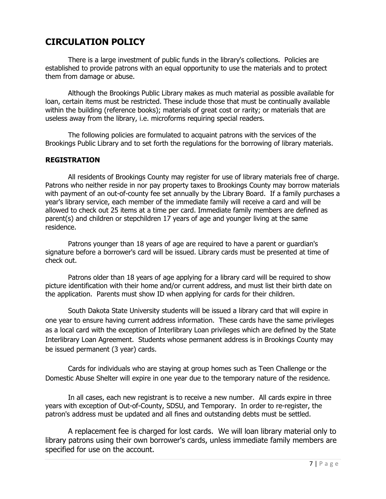## **CIRCULATION POLICY**

There is a large investment of public funds in the library's collections. Policies are established to provide patrons with an equal opportunity to use the materials and to protect them from damage or abuse.

Although the Brookings Public Library makes as much material as possible available for loan, certain items must be restricted. These include those that must be continually available within the building (reference books); materials of great cost or rarity; or materials that are useless away from the library, i.e. microforms requiring special readers.

The following policies are formulated to acquaint patrons with the services of the Brookings Public Library and to set forth the regulations for the borrowing of library materials.

#### **REGISTRATION**

All residents of Brookings County may register for use of library materials free of charge. Patrons who neither reside in nor pay property taxes to Brookings County may borrow materials with payment of an out-of-county fee set annually by the Library Board. If a family purchases a year's library service, each member of the immediate family will receive a card and will be allowed to check out 25 items at a time per card. Immediate family members are defined as parent(s) and children or stepchildren 17 years of age and younger living at the same residence.

Patrons younger than 18 years of age are required to have a parent or guardian's signature before a borrower's card will be issued. Library cards must be presented at time of check out.

Patrons older than 18 years of age applying for a library card will be required to show picture identification with their home and/or current address, and must list their birth date on the application. Parents must show ID when applying for cards for their children.

South Dakota State University students will be issued a library card that will expire in one year to ensure having current address information. These cards have the same privileges as a local card with the exception of Interlibrary Loan privileges which are defined by the State Interlibrary Loan Agreement. Students whose permanent address is in Brookings County may be issued permanent (3 year) cards.

Cards for individuals who are staying at group homes such as Teen Challenge or the Domestic Abuse Shelter will expire in one year due to the temporary nature of the residence.

In all cases, each new registrant is to receive a new number. All cards expire in three years with exception of Out-of-County, SDSU, and Temporary. In order to re-register, the patron's address must be updated and all fines and outstanding debts must be settled.

A replacement fee is charged for lost cards. We will loan library material only to library patrons using their own borrower's cards, unless immediate family members are specified for use on the account.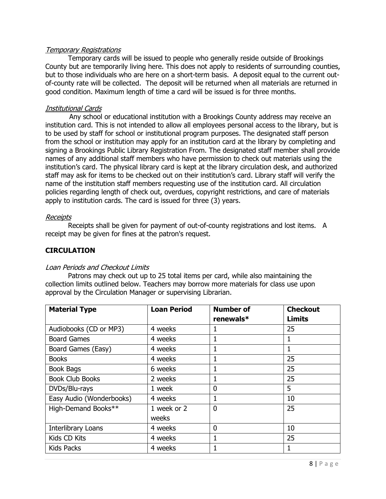#### Temporary Registrations

Temporary cards will be issued to people who generally reside outside of Brookings County but are temporarily living here. This does not apply to residents of surrounding counties, but to those individuals who are here on a short-term basis. A deposit equal to the current outof-county rate will be collected. The deposit will be returned when all materials are returned in good condition. Maximum length of time a card will be issued is for three months.

#### Institutional Cards

Any school or educational institution with a Brookings County address may receive an institution card. This is not intended to allow all employees personal access to the library, but is to be used by staff for school or institutional program purposes. The designated staff person from the school or institution may apply for an institution card at the library by completing and signing a Brookings Public Library Registration From. The designated staff member shall provide names of any additional staff members who have permission to check out materials using the institution's card. The physical library card is kept at the library circulation desk, and authorized staff may ask for items to be checked out on their institution's card. Library staff will verify the name of the institution staff members requesting use of the institution card. All circulation policies regarding length of check out, overdues, copyright restrictions, and care of materials apply to institution cards. The card is issued for three (3) years.

#### Receipts

Receipts shall be given for payment of out-of-county registrations and lost items. A receipt may be given for fines at the patron's request.

#### **CIRCULATION**

#### Loan Periods and Checkout Limits

Patrons may check out up to 25 total items per card, while also maintaining the collection limits outlined below. Teachers may borrow more materials for class use upon approval by the Circulation Manager or supervising Librarian.

| <b>Material Type</b>      | <b>Loan Period</b> | <b>Number of</b> | <b>Checkout</b> |
|---------------------------|--------------------|------------------|-----------------|
|                           |                    | renewals $*$     | <b>Limits</b>   |
| Audiobooks (CD or MP3)    | 4 weeks            |                  | 25              |
| <b>Board Games</b>        | 4 weeks            | 1                | 1               |
| Board Games (Easy)        | 4 weeks            | 1                | 1               |
| <b>Books</b>              | 4 weeks            |                  | 25              |
| Book Bags                 | 6 weeks            | 1                | 25              |
| <b>Book Club Books</b>    | 2 weeks            | 1                | 25              |
| DVDs/Blu-rays             | 1 week             | 0                | 5               |
| Easy Audio (Wonderbooks)  | 4 weeks            | 1                | 10              |
| High-Demand Books**       | 1 week or 2        | 0                | 25              |
|                           | weeks              |                  |                 |
| <b>Interlibrary Loans</b> | 4 weeks            | $\overline{0}$   | 10              |
| Kids CD Kits              | 4 weeks            |                  | 25              |
| <b>Kids Packs</b>         | 4 weeks            |                  |                 |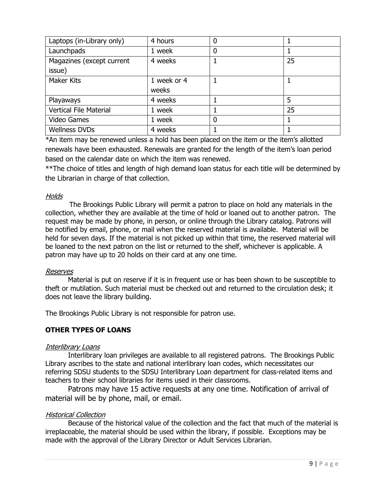| Laptops (in-Library only)     | 4 hours     | $\mathbf 0$ |    |
|-------------------------------|-------------|-------------|----|
| Launchpads                    | 1 week      | 0           |    |
| Magazines (except current     | 4 weeks     |             | 25 |
| issue)                        |             |             |    |
| Maker Kits                    | 1 week or 4 |             |    |
|                               |             |             |    |
|                               | weeks       |             |    |
| Playaways                     | 4 weeks     |             | 5  |
| <b>Vertical File Material</b> | 1 week      |             | 25 |
| <b>Video Games</b>            | 1 week      | $\Omega$    |    |

\*An item may be renewed unless a hold has been placed on the item or the item's allotted renewals have been exhausted. Renewals are granted for the length of the item's loan period based on the calendar date on which the item was renewed.

\*\*The choice of titles and length of high demand loan status for each title will be determined by the Librarian in charge of that collection.

#### **Holds**

The Brookings Public Library will permit a patron to place on hold any materials in the collection, whether they are available at the time of hold or loaned out to another patron. The request may be made by phone, in person, or online through the Library catalog. Patrons will be notified by email, phone, or mail when the reserved material is available. Material will be held for seven days. If the material is not picked up within that time, the reserved material will be loaned to the next patron on the list or returned to the shelf, whichever is applicable. A patron may have up to 20 holds on their card at any one time.

#### Reserves

Material is put on reserve if it is in frequent use or has been shown to be susceptible to theft or mutilation. Such material must be checked out and returned to the circulation desk; it does not leave the library building.

The Brookings Public Library is not responsible for patron use.

#### **OTHER TYPES OF LOANS**

#### Interlibrary Loans

Interlibrary loan privileges are available to all registered patrons. The Brookings Public Library ascribes to the state and national interlibrary loan codes, which necessitates our referring SDSU students to the SDSU Interlibrary Loan department for class-related items and teachers to their school libraries for items used in their classrooms.

Patrons may have 15 active requests at any one time. Notification of arrival of material will be by phone, mail, or email.

#### Historical Collection

Because of the historical value of the collection and the fact that much of the material is irreplaceable, the material should be used within the library, if possible. Exceptions may be made with the approval of the Library Director or Adult Services Librarian.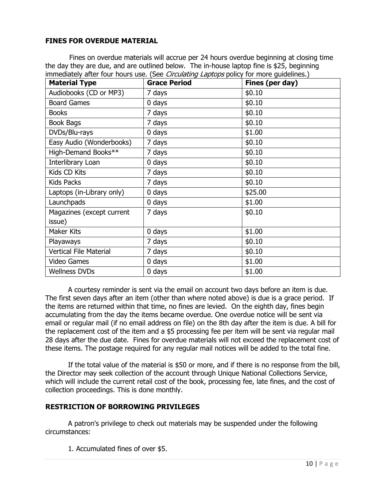#### **FINES FOR OVERDUE MATERIAL**

Fines on overdue materials will accrue per 24 hours overdue beginning at closing time the day they are due, and are outlined below. The in-house laptop fine is \$25, beginning immediately after four hours use. (See *Circulating Laptops* policy for more quidelines.)

| <b>Material Type</b>      | <b>Grace Period</b> | Fines (per day) |
|---------------------------|---------------------|-----------------|
| Audiobooks (CD or MP3)    | 7 days              | \$0.10          |
| <b>Board Games</b>        | 0 days              | \$0.10          |
| <b>Books</b>              | 7 days              | \$0.10          |
| <b>Book Bags</b>          | 7 days              | \$0.10          |
| DVDs/Blu-rays             | $0$ days            | \$1.00          |
| Easy Audio (Wonderbooks)  | 7 days              | \$0.10          |
| High-Demand Books**       | 7 days              | \$0.10          |
| Interlibrary Loan         | 0 days              | \$0.10          |
| Kids CD Kits              | 7 days              | \$0.10          |
| <b>Kids Packs</b>         | 7 days              | \$0.10          |
| Laptops (in-Library only) | 0 days              | \$25.00         |
| Launchpads                | 0 days              | \$1.00          |
| Magazines (except current | 7 days              | \$0.10          |
| issue)                    |                     |                 |
| <b>Maker Kits</b>         | 0 days              | \$1.00          |
| Playaways                 | 7 days              | \$0.10          |
| Vertical File Material    | 7 days              | \$0.10          |
| <b>Video Games</b>        | $0$ days            | \$1.00          |
| <b>Wellness DVDs</b>      | 0 days              | \$1.00          |

A courtesy reminder is sent via the email on account two days before an item is due. The first seven days after an item (other than where noted above) is due is a grace period. If the items are returned within that time, no fines are levied. On the eighth day, fines begin accumulating from the day the items became overdue. One overdue notice will be sent via email or regular mail (if no email address on file) on the 8th day after the item is due. A bill for the replacement cost of the item and a \$5 processing fee per item will be sent via regular mail 28 days after the due date. Fines for overdue materials will not exceed the replacement cost of these items. The postage required for any regular mail notices will be added to the total fine.

If the total value of the material is \$50 or more, and if there is no response from the bill, the Director may seek collection of the account through Unique National Collections Service, which will include the current retail cost of the book, processing fee, late fines, and the cost of collection proceedings. This is done monthly.

#### **RESTRICTION OF BORROWING PRIVILEGES**

A patron's privilege to check out materials may be suspended under the following circumstances:

1. Accumulated fines of over \$5.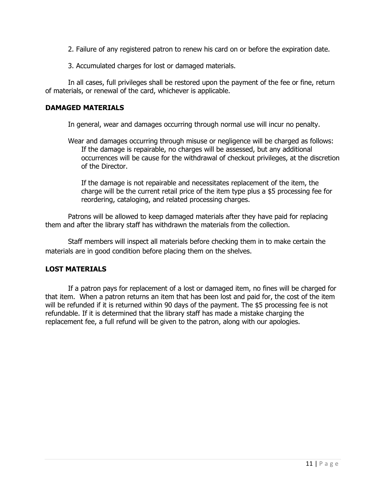- 2. Failure of any registered patron to renew his card on or before the expiration date.
- 3. Accumulated charges for lost or damaged materials.

In all cases, full privileges shall be restored upon the payment of the fee or fine, return of materials, or renewal of the card, whichever is applicable.

#### **DAMAGED MATERIALS**

In general, wear and damages occurring through normal use will incur no penalty.

Wear and damages occurring through misuse or negligence will be charged as follows: If the damage is repairable, no charges will be assessed, but any additional occurrences will be cause for the withdrawal of checkout privileges, at the discretion of the Director.

If the damage is not repairable and necessitates replacement of the item, the charge will be the current retail price of the item type plus a \$5 processing fee for reordering, cataloging, and related processing charges.

Patrons will be allowed to keep damaged materials after they have paid for replacing them and after the library staff has withdrawn the materials from the collection.

Staff members will inspect all materials before checking them in to make certain the materials are in good condition before placing them on the shelves.

#### **LOST MATERIALS**

If a patron pays for replacement of a lost or damaged item, no fines will be charged for that item. When a patron returns an item that has been lost and paid for, the cost of the item will be refunded if it is returned within 90 days of the payment. The \$5 processing fee is not refundable. If it is determined that the library staff has made a mistake charging the replacement fee, a full refund will be given to the patron, along with our apologies.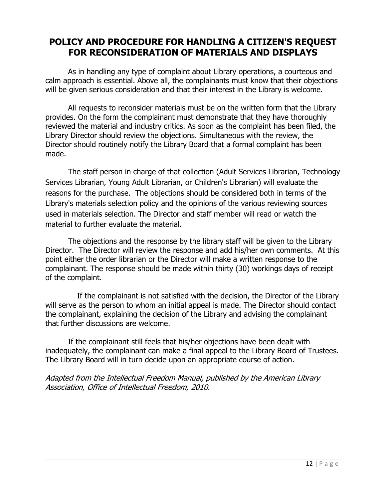## **POLICY AND PROCEDURE FOR HANDLING A CITIZEN'S REQUEST FOR RECONSIDERATION OF MATERIALS AND DISPLAYS**

As in handling any type of complaint about Library operations, a courteous and calm approach is essential. Above all, the complainants must know that their objections will be given serious consideration and that their interest in the Library is welcome.

All requests to reconsider materials must be on the written form that the Library provides. On the form the complainant must demonstrate that they have thoroughly reviewed the material and industry critics. As soon as the complaint has been filed, the Library Director should review the objections. Simultaneous with the review, the Director should routinely notify the Library Board that a formal complaint has been made.

The staff person in charge of that collection (Adult Services Librarian, Technology Services Librarian, Young Adult Librarian, or Children's Librarian) will evaluate the reasons for the purchase. The objections should be considered both in terms of the Library's materials selection policy and the opinions of the various reviewing sources used in materials selection. The Director and staff member will read or watch the material to further evaluate the material.

The objections and the response by the library staff will be given to the Library Director. The Director will review the response and add his/her own comments. At this point either the order librarian or the Director will make a written response to the complainant. The response should be made within thirty (30) workings days of receipt of the complaint.

If the complainant is not satisfied with the decision, the Director of the Library will serve as the person to whom an initial appeal is made. The Director should contact the complainant, explaining the decision of the Library and advising the complainant that further discussions are welcome.

If the complainant still feels that his/her objections have been dealt with inadequately, the complainant can make a final appeal to the Library Board of Trustees. The Library Board will in turn decide upon an appropriate course of action.

Adapted from the Intellectual Freedom Manual, published by the American Library Association, Office of Intellectual Freedom, 2010.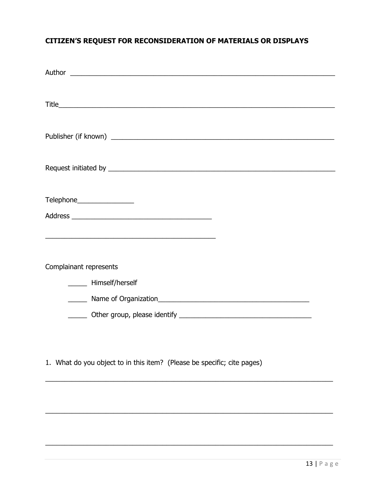### **CITIZEN'S REQUEST FOR RECONSIDERATION OF MATERIALS OR DISPLAYS**

| Telephone_________________                                              |
|-------------------------------------------------------------------------|
|                                                                         |
|                                                                         |
| Complainant represents                                                  |
| ______ Himself/herself                                                  |
|                                                                         |
|                                                                         |
| 1. What do you object to in this item? (Please be specific; cite pages) |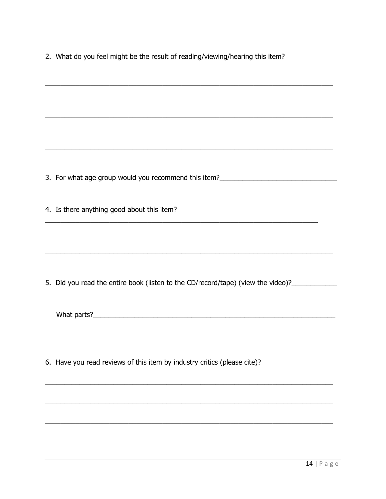2. What do you feel might be the result of reading/viewing/hearing this item?

3. For what age group would you recommend this item? 4. Is there anything good about this item? 5. Did you read the entire book (listen to the CD/record/tape) (view the video)?\_\_\_\_\_\_\_\_\_\_\_\_\_\_ 6. Have you read reviews of this item by industry critics (please cite)?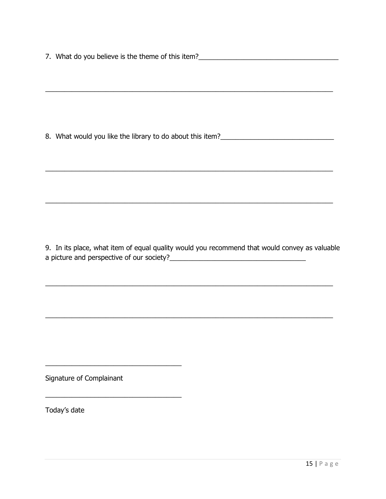7. What do you believe is the theme of this item?\_\_\_\_\_\_\_\_\_\_\_\_\_\_\_\_\_\_\_\_\_\_\_\_\_\_\_\_\_\_\_

8. What would you like the library to do about this item?\_\_\_\_\_\_\_\_\_\_\_\_\_\_\_\_\_\_\_\_\_\_\_

<u> 1989 - Johann Barbara, martin amerikan basar da</u>

9. In its place, what item of equal quality would you recommend that would convey as valuable 

Signature of Complainant

Today's date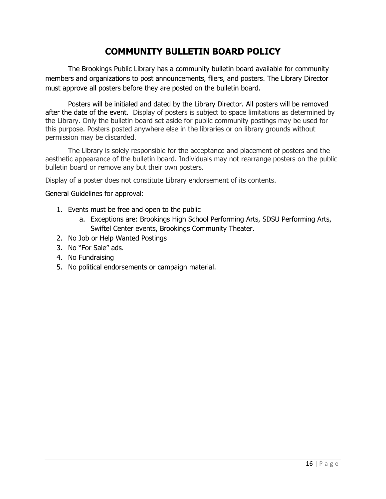## **COMMUNITY BULLETIN BOARD POLICY**

The Brookings Public Library has a community bulletin board available for community members and organizations to post announcements, fliers, and posters. The Library Director must approve all posters before they are posted on the bulletin board.

Posters will be initialed and dated by the Library Director. All posters will be removed after the date of the event. Display of posters is subject to space limitations as determined by the Library. Only the bulletin board set aside for public community postings may be used for this purpose. Posters posted anywhere else in the libraries or on library grounds without permission may be discarded.

The Library is solely responsible for the acceptance and placement of posters and the aesthetic appearance of the bulletin board. Individuals may not rearrange posters on the public bulletin board or remove any but their own posters.

Display of a poster does not constitute Library endorsement of its contents.

General Guidelines for approval:

- 1. Events must be free and open to the public
	- a. Exceptions are: Brookings High School Performing Arts, SDSU Performing Arts, Swiftel Center events, Brookings Community Theater.
- 2. No Job or Help Wanted Postings
- 3. No "For Sale" ads.
- 4. No Fundraising
- 5. No political endorsements or campaign material.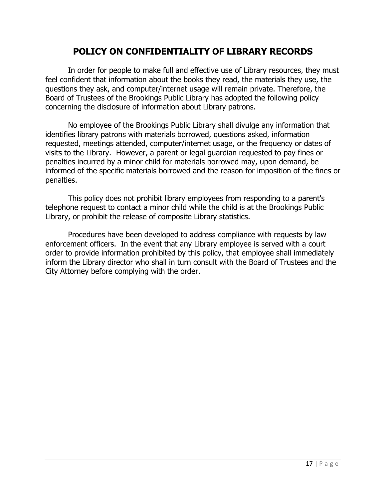## **POLICY ON CONFIDENTIALITY OF LIBRARY RECORDS**

In order for people to make full and effective use of Library resources, they must feel confident that information about the books they read, the materials they use, the questions they ask, and computer/internet usage will remain private. Therefore, the Board of Trustees of the Brookings Public Library has adopted the following policy concerning the disclosure of information about Library patrons.

No employee of the Brookings Public Library shall divulge any information that identifies library patrons with materials borrowed, questions asked, information requested, meetings attended, computer/internet usage, or the frequency or dates of visits to the Library. However, a parent or legal guardian requested to pay fines or penalties incurred by a minor child for materials borrowed may, upon demand, be informed of the specific materials borrowed and the reason for imposition of the fines or penalties.

This policy does not prohibit library employees from responding to a parent's telephone request to contact a minor child while the child is at the Brookings Public Library, or prohibit the release of composite Library statistics.

Procedures have been developed to address compliance with requests by law enforcement officers. In the event that any Library employee is served with a court order to provide information prohibited by this policy, that employee shall immediately inform the Library director who shall in turn consult with the Board of Trustees and the City Attorney before complying with the order.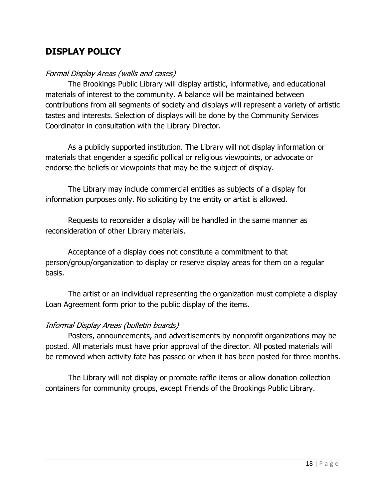## **DISPLAY POLICY**

#### Formal Display Areas (walls and cases)

The Brookings Public Library will display artistic, informative, and educational materials of interest to the community. A balance will be maintained between contributions from all segments of society and displays will represent a variety of artistic tastes and interests. Selection of displays will be done by the Community Services Coordinator in consultation with the Library Director.

As a publicly supported institution. The Library will not display information or materials that engender a specific pollical or religious viewpoints, or advocate or endorse the beliefs or viewpoints that may be the subject of display.

The Library may include commercial entities as subjects of a display for information purposes only. No soliciting by the entity or artist is allowed.

Requests to reconsider a display will be handled in the same manner as reconsideration of other Library materials.

Acceptance of a display does not constitute a commitment to that person/group/organization to display or reserve display areas for them on a regular basis.

The artist or an individual representing the organization must complete a display Loan Agreement form prior to the public display of the items.

#### Informal Display Areas (bulletin boards)

Posters, announcements, and advertisements by nonprofit organizations may be posted. All materials must have prior approval of the director. All posted materials will be removed when activity fate has passed or when it has been posted for three months.

The Library will not display or promote raffle items or allow donation collection containers for community groups, except Friends of the Brookings Public Library.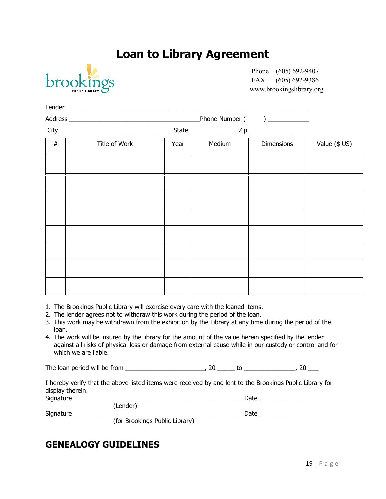## **Loan to Library Agreement**



FAX (605) 692-9386 www.brookingslibrary.org

| Phone Number ( |      |        | $\begin{picture}(20,20)(-0,0) \put(0,0){\line(1,0){10}} \put(15,0){\line(1,0){10}} \put(15,0){\line(1,0){10}} \put(15,0){\line(1,0){10}} \put(15,0){\line(1,0){10}} \put(15,0){\line(1,0){10}} \put(15,0){\line(1,0){10}} \put(15,0){\line(1,0){10}} \put(15,0){\line(1,0){10}} \put(15,0){\line(1,0){10}} \put(15,0){\line(1,0){10}} \put(15,0$ |               |
|----------------|------|--------|--------------------------------------------------------------------------------------------------------------------------------------------------------------------------------------------------------------------------------------------------------------------------------------------------------------------------------------------------|---------------|
|                |      |        |                                                                                                                                                                                                                                                                                                                                                  |               |
| Title of Work  | Year | Medium | Dimensions                                                                                                                                                                                                                                                                                                                                       | Value (\$ US) |
|                |      |        |                                                                                                                                                                                                                                                                                                                                                  |               |
|                |      |        |                                                                                                                                                                                                                                                                                                                                                  |               |
|                |      |        |                                                                                                                                                                                                                                                                                                                                                  |               |
|                |      |        |                                                                                                                                                                                                                                                                                                                                                  |               |
|                |      |        |                                                                                                                                                                                                                                                                                                                                                  |               |
|                |      |        |                                                                                                                                                                                                                                                                                                                                                  |               |
|                |      |        |                                                                                                                                                                                                                                                                                                                                                  |               |
|                |      |        |                                                                                                                                                                                                                                                                                                                                                  |               |
|                |      |        |                                                                                                                                                                                                                                                                                                                                                  |               |

1. The Brookings Public Library will exercise every care with the loaned items.

- 2. The lender agrees not to withdraw this work during the period of the loan.
- 3. This work may be withdrawn from the exhibition by the Library at any time during the period of the loan.
- 4. The work will be insured by the library for the amount of the value herein specified by the lender against all risks of physical loss or damage from external cause while in our custody or control and for which we are liable.

The loan period will be from \_\_\_\_\_\_\_\_\_\_\_\_\_\_\_\_\_\_\_\_\_\_\_, 20 \_\_\_\_\_ to \_\_\_\_\_\_\_\_\_\_\_\_\_\_\_, 20 \_\_\_

|                  | I hereby verify that the above listed items were received by and lent to the Brookings Public Library for |  |  |  |
|------------------|-----------------------------------------------------------------------------------------------------------|--|--|--|
| display therein. |                                                                                                           |  |  |  |
|                  |                                                                                                           |  |  |  |

| Signature |                                | Date |  |
|-----------|--------------------------------|------|--|
|           | (Lender)                       |      |  |
| Signature |                                | Date |  |
|           | (for Brookings Public Library) |      |  |

## **GENEALOGY GUIDELINES**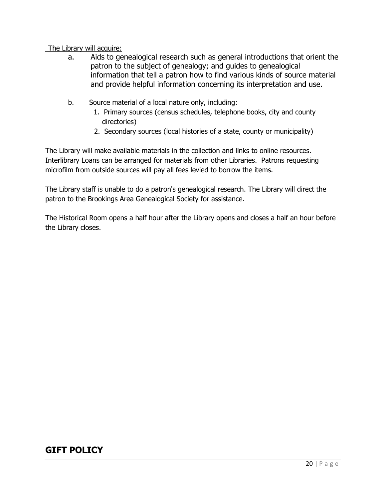The Library will acquire:

- a. Aids to genealogical research such as general introductions that orient the patron to the subject of genealogy; and guides to genealogical information that tell a patron how to find various kinds of source material and provide helpful information concerning its interpretation and use.
- b. Source material of a local nature only, including:
	- 1. Primary sources (census schedules, telephone books, city and county directories)
	- 2. Secondary sources (local histories of a state, county or municipality)

The Library will make available materials in the collection and links to online resources. Interlibrary Loans can be arranged for materials from other Libraries. Patrons requesting microfilm from outside sources will pay all fees levied to borrow the items.

The Library staff is unable to do a patron's genealogical research. The Library will direct the patron to the Brookings Area Genealogical Society for assistance.

The Historical Room opens a half hour after the Library opens and closes a half an hour before the Library closes.

## **GIFT POLICY**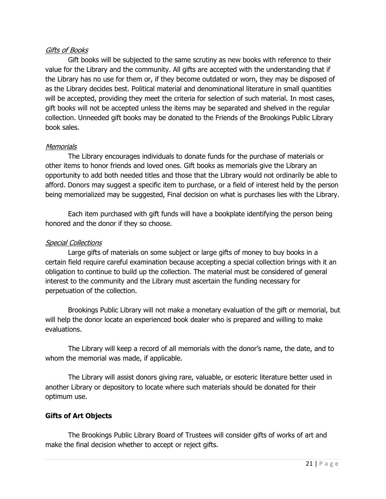#### Gifts of Books

Gift books will be subjected to the same scrutiny as new books with reference to their value for the Library and the community. All gifts are accepted with the understanding that if the Library has no use for them or, if they become outdated or worn, they may be disposed of as the Library decides best. Political material and denominational literature in small quantities will be accepted, providing they meet the criteria for selection of such material. In most cases, gift books will not be accepted unless the items may be separated and shelved in the regular collection. Unneeded gift books may be donated to the Friends of the Brookings Public Library book sales.

#### **Memorials**

The Library encourages individuals to donate funds for the purchase of materials or other items to honor friends and loved ones. Gift books as memorials give the Library an opportunity to add both needed titles and those that the Library would not ordinarily be able to afford. Donors may suggest a specific item to purchase, or a field of interest held by the person being memorialized may be suggested, Final decision on what is purchases lies with the Library.

Each item purchased with gift funds will have a bookplate identifying the person being honored and the donor if they so choose.

#### Special Collections

Large gifts of materials on some subject or large gifts of money to buy books in a certain field require careful examination because accepting a special collection brings with it an obligation to continue to build up the collection. The material must be considered of general interest to the community and the Library must ascertain the funding necessary for perpetuation of the collection.

Brookings Public Library will not make a monetary evaluation of the gift or memorial, but will help the donor locate an experienced book dealer who is prepared and willing to make evaluations.

The Library will keep a record of all memorials with the donor's name, the date, and to whom the memorial was made, if applicable.

The Library will assist donors giving rare, valuable, or esoteric literature better used in another Library or depository to locate where such materials should be donated for their optimum use.

#### **Gifts of Art Objects**

The Brookings Public Library Board of Trustees will consider gifts of works of art and make the final decision whether to accept or reject gifts.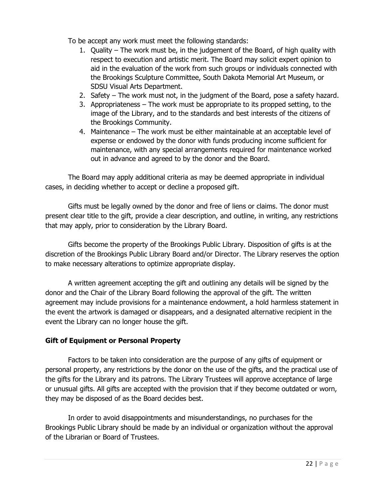To be accept any work must meet the following standards:

- 1. Quality The work must be, in the judgement of the Board, of high quality with respect to execution and artistic merit. The Board may solicit expert opinion to aid in the evaluation of the work from such groups or individuals connected with the Brookings Sculpture Committee, South Dakota Memorial Art Museum, or SDSU Visual Arts Department.
- 2. Safety The work must not, in the judgment of the Board, pose a safety hazard.
- 3. Appropriateness The work must be appropriate to its propped setting, to the image of the Library, and to the standards and best interests of the citizens of the Brookings Community.
- 4. Maintenance The work must be either maintainable at an acceptable level of expense or endowed by the donor with funds producing income sufficient for maintenance, with any special arrangements required for maintenance worked out in advance and agreed to by the donor and the Board.

The Board may apply additional criteria as may be deemed appropriate in individual cases, in deciding whether to accept or decline a proposed gift.

Gifts must be legally owned by the donor and free of liens or claims. The donor must present clear title to the gift, provide a clear description, and outline, in writing, any restrictions that may apply, prior to consideration by the Library Board.

Gifts become the property of the Brookings Public Library. Disposition of gifts is at the discretion of the Brookings Public Library Board and/or Director. The Library reserves the option to make necessary alterations to optimize appropriate display.

A written agreement accepting the gift and outlining any details will be signed by the donor and the Chair of the Library Board following the approval of the gift. The written agreement may include provisions for a maintenance endowment, a hold harmless statement in the event the artwork is damaged or disappears, and a designated alternative recipient in the event the Library can no longer house the gift.

#### **Gift of Equipment or Personal Property**

Factors to be taken into consideration are the purpose of any gifts of equipment or personal property, any restrictions by the donor on the use of the gifts, and the practical use of the gifts for the Library and its patrons. The Library Trustees will approve acceptance of large or unusual gifts. All gifts are accepted with the provision that if they become outdated or worn, they may be disposed of as the Board decides best.

In order to avoid disappointments and misunderstandings, no purchases for the Brookings Public Library should be made by an individual or organization without the approval of the Librarian or Board of Trustees.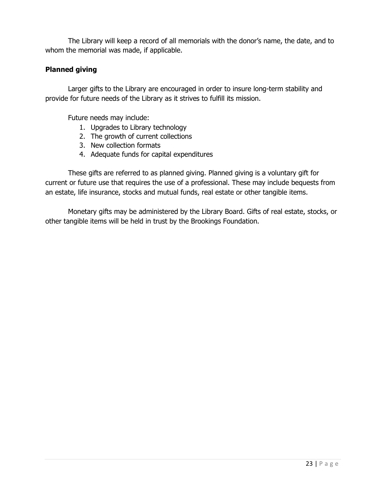The Library will keep a record of all memorials with the donor's name, the date, and to whom the memorial was made, if applicable.

#### **Planned giving**

Larger gifts to the Library are encouraged in order to insure long-term stability and provide for future needs of the Library as it strives to fulfill its mission.

Future needs may include:

- 1. Upgrades to Library technology
- 2. The growth of current collections
- 3. New collection formats
- 4. Adequate funds for capital expenditures

These gifts are referred to as planned giving. Planned giving is a voluntary gift for current or future use that requires the use of a professional. These may include bequests from an estate, life insurance, stocks and mutual funds, real estate or other tangible items.

Monetary gifts may be administered by the Library Board. Gifts of real estate, stocks, or other tangible items will be held in trust by the Brookings Foundation.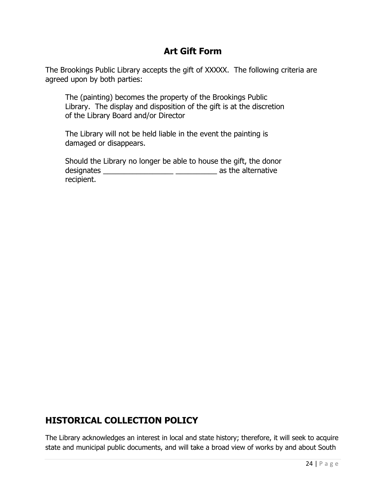## **Art Gift Form**

The Brookings Public Library accepts the gift of XXXXX. The following criteria are agreed upon by both parties:

The (painting) becomes the property of the Brookings Public Library. The display and disposition of the gift is at the discretion of the Library Board and/or Director

The Library will not be held liable in the event the painting is damaged or disappears.

Should the Library no longer be able to house the gift, the donor designates \_\_\_\_\_\_\_\_\_\_\_\_\_\_\_\_\_ \_\_\_\_\_\_\_\_\_\_ as the alternative recipient.

## **HISTORICAL COLLECTION POLICY**

The Library acknowledges an interest in local and state history; therefore, it will seek to acquire state and municipal public documents, and will take a broad view of works by and about South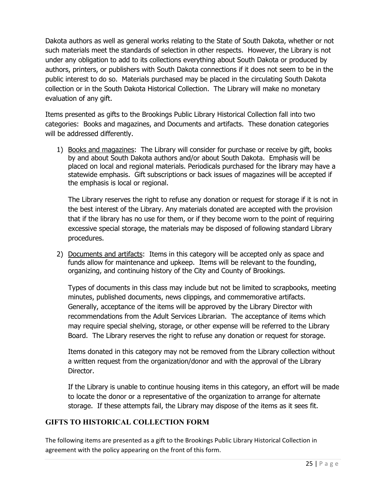Dakota authors as well as general works relating to the State of South Dakota, whether or not such materials meet the standards of selection in other respects. However, the Library is not under any obligation to add to its collections everything about South Dakota or produced by authors, printers, or publishers with South Dakota connections if it does not seem to be in the public interest to do so. Materials purchased may be placed in the circulating South Dakota collection or in the South Dakota Historical Collection. The Library will make no monetary evaluation of any gift.

Items presented as gifts to the Brookings Public Library Historical Collection fall into two categories: Books and magazines, and Documents and artifacts. These donation categories will be addressed differently.

1) Books and magazines: The Library will consider for purchase or receive by gift, books by and about South Dakota authors and/or about South Dakota. Emphasis will be placed on local and regional materials. Periodicals purchased for the library may have a statewide emphasis. Gift subscriptions or back issues of magazines will be accepted if the emphasis is local or regional.

The Library reserves the right to refuse any donation or request for storage if it is not in the best interest of the Library. Any materials donated are accepted with the provision that if the library has no use for them, or if they become worn to the point of requiring excessive special storage, the materials may be disposed of following standard Library procedures.

2) Documents and artifacts: Items in this category will be accepted only as space and funds allow for maintenance and upkeep. Items will be relevant to the founding, organizing, and continuing history of the City and County of Brookings.

Types of documents in this class may include but not be limited to scrapbooks, meeting minutes, published documents, news clippings, and commemorative artifacts. Generally, acceptance of the items will be approved by the Library Director with recommendations from the Adult Services Librarian. The acceptance of items which may require special shelving, storage, or other expense will be referred to the Library Board. The Library reserves the right to refuse any donation or request for storage.

Items donated in this category may not be removed from the Library collection without a written request from the organization/donor and with the approval of the Library Director.

If the Library is unable to continue housing items in this category, an effort will be made to locate the donor or a representative of the organization to arrange for alternate storage. If these attempts fail, the Library may dispose of the items as it sees fit.

#### **GIFTS TO HISTORICAL COLLECTION FORM**

The following items are presented as a gift to the Brookings Public Library Historical Collection in agreement with the policy appearing on the front of this form.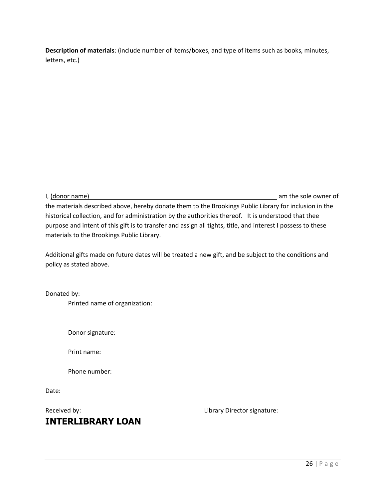**Description of materials**: (include number of items/boxes, and type of items such as books, minutes, letters, etc.)

I, (donor name) **Example 2** and the sole owner of

the materials described above, hereby donate them to the Brookings Public Library for inclusion in the historical collection, and for administration by the authorities thereof. It is understood that thee purpose and intent of this gift is to transfer and assign all tights, title, and interest I possess to these materials to the Brookings Public Library.

Additional gifts made on future dates will be treated a new gift, and be subject to the conditions and policy as stated above.

Donated by:

Printed name of organization:

Donor signature:

Print name:

Phone number:

Date:

## **INTERLIBRARY LOAN**

Received by:  $\qquad \qquad$  Library Director signature: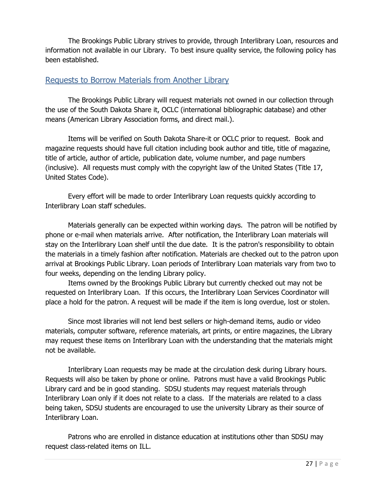The Brookings Public Library strives to provide, through Interlibrary Loan, resources and information not available in our Library. To best insure quality service, the following policy has been established.

#### Requests to Borrow Materials from Another Library

The Brookings Public Library will request materials not owned in our collection through the use of the South Dakota Share it, OCLC (international bibliographic database) and other means (American Library Association forms, and direct mail.).

Items will be verified on South Dakota Share-it or OCLC prior to request. Book and magazine requests should have full citation including book author and title, title of magazine, title of article, author of article, publication date, volume number, and page numbers (inclusive). All requests must comply with the copyright law of the United States (Title 17, United States Code).

Every effort will be made to order Interlibrary Loan requests quickly according to Interlibrary Loan staff schedules.

Materials generally can be expected within working days. The patron will be notified by phone or e-mail when materials arrive. After notification, the Interlibrary Loan materials will stay on the Interlibrary Loan shelf until the due date. It is the patron's responsibility to obtain the materials in a timely fashion after notification. Materials are checked out to the patron upon arrival at Brookings Public Library. Loan periods of Interlibrary Loan materials vary from two to four weeks, depending on the lending Library policy.

Items owned by the Brookings Public Library but currently checked out may not be requested on Interlibrary Loan. If this occurs, the Interlibrary Loan Services Coordinator will place a hold for the patron. A request will be made if the item is long overdue, lost or stolen.

Since most libraries will not lend best sellers or high-demand items, audio or video materials, computer software, reference materials, art prints, or entire magazines, the Library may request these items on Interlibrary Loan with the understanding that the materials might not be available.

Interlibrary Loan requests may be made at the circulation desk during Library hours. Requests will also be taken by phone or online. Patrons must have a valid Brookings Public Library card and be in good standing. SDSU students may request materials through Interlibrary Loan only if it does not relate to a class. If the materials are related to a class being taken, SDSU students are encouraged to use the university Library as their source of Interlibrary Loan.

Patrons who are enrolled in distance education at institutions other than SDSU may request class-related items on ILL.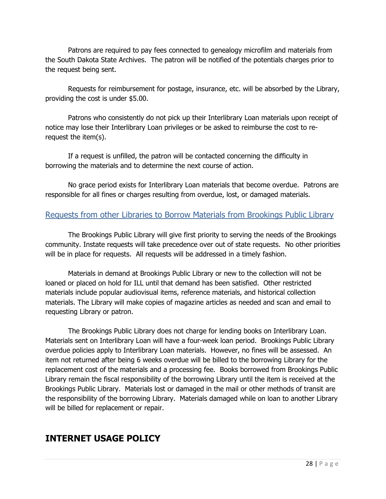Patrons are required to pay fees connected to genealogy microfilm and materials from the South Dakota State Archives. The patron will be notified of the potentials charges prior to the request being sent.

Requests for reimbursement for postage, insurance, etc. will be absorbed by the Library, providing the cost is under \$5.00.

Patrons who consistently do not pick up their Interlibrary Loan materials upon receipt of notice may lose their Interlibrary Loan privileges or be asked to reimburse the cost to rerequest the item(s).

If a request is unfilled, the patron will be contacted concerning the difficulty in borrowing the materials and to determine the next course of action.

No grace period exists for Interlibrary Loan materials that become overdue. Patrons are responsible for all fines or charges resulting from overdue, lost, or damaged materials.

#### Requests from other Libraries to Borrow Materials from Brookings Public Library

The Brookings Public Library will give first priority to serving the needs of the Brookings community. Instate requests will take precedence over out of state requests. No other priorities will be in place for requests. All requests will be addressed in a timely fashion.

Materials in demand at Brookings Public Library or new to the collection will not be loaned or placed on hold for ILL until that demand has been satisfied. Other restricted materials include popular audiovisual items, reference materials, and historical collection materials. The Library will make copies of magazine articles as needed and scan and email to requesting Library or patron.

The Brookings Public Library does not charge for lending books on Interlibrary Loan. Materials sent on Interlibrary Loan will have a four-week loan period. Brookings Public Library overdue policies apply to Interlibrary Loan materials. However, no fines will be assessed. An item not returned after being 6 weeks overdue will be billed to the borrowing Library for the replacement cost of the materials and a processing fee. Books borrowed from Brookings Public Library remain the fiscal responsibility of the borrowing Library until the item is received at the Brookings Public Library. Materials lost or damaged in the mail or other methods of transit are the responsibility of the borrowing Library. Materials damaged while on loan to another Library will be billed for replacement or repair.

## **INTERNET USAGE POLICY**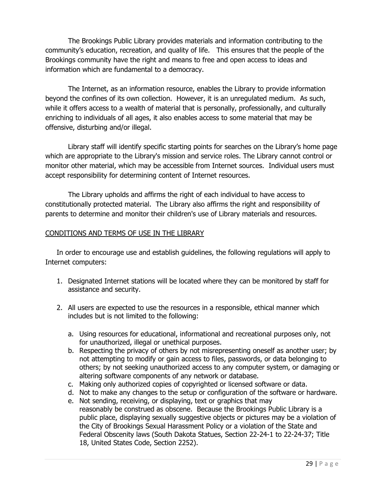The Brookings Public Library provides materials and information contributing to the community's education, recreation, and quality of life. This ensures that the people of the Brookings community have the right and means to free and open access to ideas and information which are fundamental to a democracy.

The Internet, as an information resource, enables the Library to provide information beyond the confines of its own collection. However, it is an unregulated medium. As such, while it offers access to a wealth of material that is personally, professionally, and culturally enriching to individuals of all ages, it also enables access to some material that may be offensive, disturbing and/or illegal.

Library staff will identify specific starting points for searches on the Library's home page which are appropriate to the Library's mission and service roles. The Library cannot control or monitor other material, which may be accessible from Internet sources. Individual users must accept responsibility for determining content of Internet resources.

The Library upholds and affirms the right of each individual to have access to constitutionally protected material. The Library also affirms the right and responsibility of parents to determine and monitor their children's use of Library materials and resources.

#### CONDITIONS AND TERMS OF USE IN THE LIBRARY

In order to encourage use and establish guidelines, the following regulations will apply to Internet computers:

- 1. Designated Internet stations will be located where they can be monitored by staff for assistance and security.
- 2. All users are expected to use the resources in a responsible, ethical manner which includes but is not limited to the following:
	- a. Using resources for educational, informational and recreational purposes only, not for unauthorized, illegal or unethical purposes.
	- b. Respecting the privacy of others by not misrepresenting oneself as another user; by not attempting to modify or gain access to files, passwords, or data belonging to others; by not seeking unauthorized access to any computer system, or damaging or altering software components of any network or database.
	- c. Making only authorized copies of copyrighted or licensed software or data.
	- d. Not to make any changes to the setup or configuration of the software or hardware.
	- e. Not sending, receiving, or displaying, text or graphics that may reasonably be construed as obscene. Because the Brookings Public Library is a public place, displaying sexually suggestive objects or pictures may be a violation of the City of Brookings Sexual Harassment Policy or a violation of the State and Federal Obscenity laws (South Dakota Statues, Section 22-24-1 to 22-24-37; Title 18, United States Code, Section 2252).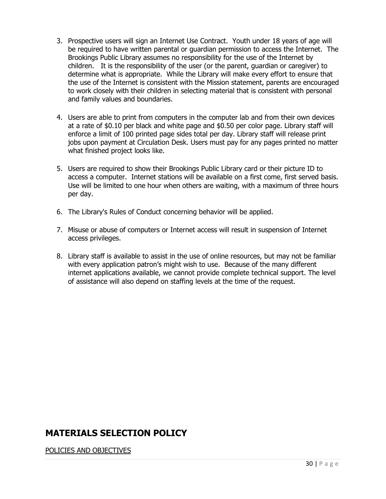- 3. Prospective users will sign an Internet Use Contract. Youth under 18 years of age will be required to have written parental or guardian permission to access the Internet. The Brookings Public Library assumes no responsibility for the use of the Internet by children. It is the responsibility of the user (or the parent, guardian or caregiver) to determine what is appropriate. While the Library will make every effort to ensure that the use of the Internet is consistent with the Mission statement, parents are encouraged to work closely with their children in selecting material that is consistent with personal and family values and boundaries.
- 4. Users are able to print from computers in the computer lab and from their own devices at a rate of \$0.10 per black and white page and \$0.50 per color page. Library staff will enforce a limit of 100 printed page sides total per day. Library staff will release print jobs upon payment at Circulation Desk. Users must pay for any pages printed no matter what finished project looks like.
- 5. Users are required to show their Brookings Public Library card or their picture ID to access a computer. Internet stations will be available on a first come, first served basis. Use will be limited to one hour when others are waiting, with a maximum of three hours per day.
- 6. The Library's Rules of Conduct concerning behavior will be applied.
- 7. Misuse or abuse of computers or Internet access will result in suspension of Internet access privileges.
- 8. Library staff is available to assist in the use of online resources, but may not be familiar with every application patron's might wish to use. Because of the many different internet applications available, we cannot provide complete technical support. The level of assistance will also depend on staffing levels at the time of the request.

## **MATERIALS SELECTION POLICY**

#### POLICIES AND OBJECTIVES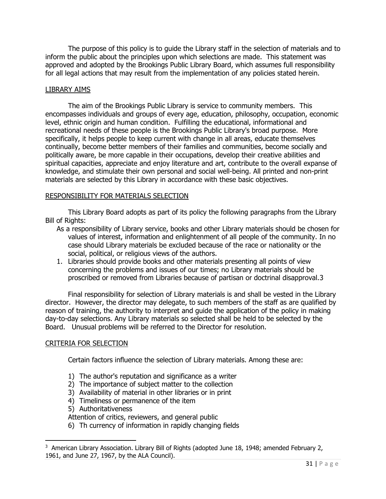The purpose of this policy is to guide the Library staff in the selection of materials and to inform the public about the principles upon which selections are made. This statement was approved and adopted by the Brookings Public Library Board, which assumes full responsibility for all legal actions that may result from the implementation of any policies stated herein.

#### LIBRARY AIMS

The aim of the Brookings Public Library is service to community members. This encompasses individuals and groups of every age, education, philosophy, occupation, economic level, ethnic origin and human condition. Fulfilling the educational, informational and recreational needs of these people is the Brookings Public Library's broad purpose. More specifically, it helps people to keep current with change in all areas, educate themselves continually, become better members of their families and communities, become socially and politically aware, be more capable in their occupations, develop their creative abilities and spiritual capacities, appreciate and enjoy literature and art, contribute to the overall expanse of knowledge, and stimulate their own personal and social well-being. All printed and non-print materials are selected by this Library in accordance with these basic objectives.

#### RESPONSIBILITY FOR MATERIALS SELECTION

This Library Board adopts as part of its policy the following paragraphs from the Library Bill of Rights:

- As a responsibility of Library service, books and other Library materials should be chosen for values of interest, information and enlightenment of all people of the community. In no case should Library materials be excluded because of the race or nationality or the social, political, or religious views of the authors.
- 1. Libraries should provide books and other materials presenting all points of view concerning the problems and issues of our times; no Library materials should be proscribed or removed from Libraries because of partisan or doctrinal disapproval.[3](#page-30-0)

Final responsibility for selection of Library materials is and shall be vested in the Library director. However, the director may delegate, to such members of the staff as are qualified by reason of training, the authority to interpret and guide the application of the policy in making day-to-day selections. Any Library materials so selected shall be held to be selected by the Board. Unusual problems will be referred to the Director for resolution.

#### CRITERIA FOR SELECTION

 $\overline{\phantom{a}}$ 

Certain factors influence the selection of Library materials. Among these are:

- 1) The author's reputation and significance as a writer
- 2) The importance of subject matter to the collection
- 3) Availability of material in other libraries or in print
- 4) Timeliness or permanence of the item
- 5) Authoritativeness

Attention of critics, reviewers, and general public

6) Th currency of information in rapidly changing fields

<span id="page-30-0"></span><sup>&</sup>lt;sup>3</sup> American Library Association. Library Bill of Rights (adopted June 18, 1948; amended February 2, 1961, and June 27, 1967, by the ALA Council).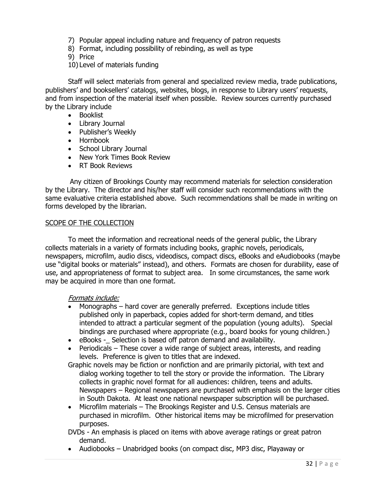- 7) Popular appeal including nature and frequency of patron requests
- 8) Format, including possibility of rebinding, as well as type
- 9) Price

#### 10) Level of materials funding

Staff will select materials from general and specialized review media, trade publications, publishers' and booksellers' catalogs, websites, blogs, in response to Library users' requests, and from inspection of the material itself when possible. Review sources currently purchased by the Library include

- Booklist
- Library Journal
- Publisher's Weekly
- Hornbook
- School Library Journal
- New York Times Book Review
- RT Book Reviews

Any citizen of Brookings County may recommend materials for selection consideration by the Library. The director and his/her staff will consider such recommendations with the same evaluative criteria established above. Such recommendations shall be made in writing on forms developed by the librarian.

#### SCOPE OF THE COLLECTION

To meet the information and recreational needs of the general public, the Library collects materials in a variety of formats including books, graphic novels, periodicals, newspapers, microfilm, audio discs, videodiscs, compact discs, eBooks and eAudiobooks (maybe use "digital books or materials" instead), and others. Formats are chosen for durability, ease of use, and appropriateness of format to subject area. In some circumstances, the same work may be acquired in more than one format.

#### Formats include:

- Monographs hard cover are generally preferred. Exceptions include titles published only in paperback, copies added for short-term demand, and titles intended to attract a particular segment of the population (young adults). Special bindings are purchased where appropriate (e.g., board books for young children.)
- eBooks -\_ Selection is based off patron demand and availability.
- Periodicals These cover a wide range of subject areas, interests, and reading levels. Preference is given to titles that are indexed.
- Graphic novels may be fiction or nonfiction and are primarily pictorial, with text and dialog working together to tell the story or provide the information. The Library collects in graphic novel format for all audiences: children, teens and adults. Newspapers – Regional newspapers are purchased with emphasis on the larger cities in South Dakota. At least one national newspaper subscription will be purchased.
- Microfilm materials The Brookings Register and U.S. Census materials are purchased in microfilm. Other historical items may be microfilmed for preservation purposes.

DVDs - An emphasis is placed on items with above average ratings or great patron demand.

• Audiobooks – Unabridged books (on compact disc, MP3 disc, Playaway or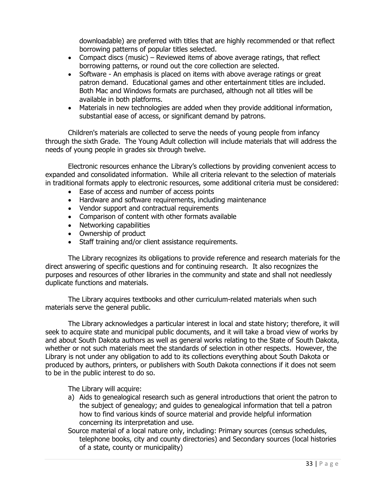downloadable) are preferred with titles that are highly recommended or that reflect borrowing patterns of popular titles selected.

- Compact discs (music) Reviewed items of above average ratings, that reflect borrowing patterns, or round out the core collection are selected.
- Software An emphasis is placed on items with above average ratings or great patron demand. Educational games and other entertainment titles are included. Both Mac and Windows formats are purchased, although not all titles will be available in both platforms.
- Materials in new technologies are added when they provide additional information, substantial ease of access, or significant demand by patrons.

Children's materials are collected to serve the needs of young people from infancy through the sixth Grade. The Young Adult collection will include materials that will address the needs of young people in grades six through twelve.

Electronic resources enhance the Library's collections by providing convenient access to expanded and consolidated information. While all criteria relevant to the selection of materials in traditional formats apply to electronic resources, some additional criteria must be considered:

- Ease of access and number of access points
- Hardware and software requirements, including maintenance
- Vendor support and contractual requirements
- Comparison of content with other formats available
- Networking capabilities
- Ownership of product
- Staff training and/or client assistance requirements.

The Library recognizes its obligations to provide reference and research materials for the direct answering of specific questions and for continuing research. It also recognizes the purposes and resources of other libraries in the community and state and shall not needlessly duplicate functions and materials.

The Library acquires textbooks and other curriculum-related materials when such materials serve the general public.

The Library acknowledges a particular interest in local and state history; therefore, it will seek to acquire state and municipal public documents, and it will take a broad view of works by and about South Dakota authors as well as general works relating to the State of South Dakota, whether or not such materials meet the standards of selection in other respects. However, the Library is not under any obligation to add to its collections everything about South Dakota or produced by authors, printers, or publishers with South Dakota connections if it does not seem to be in the public interest to do so.

The Library will acquire:

- a) Aids to genealogical research such as general introductions that orient the patron to the subject of genealogy; and guides to genealogical information that tell a patron how to find various kinds of source material and provide helpful information concerning its interpretation and use.
- Source material of a local nature only, including: Primary sources (census schedules, telephone books, city and county directories) and Secondary sources (local histories of a state, county or municipality)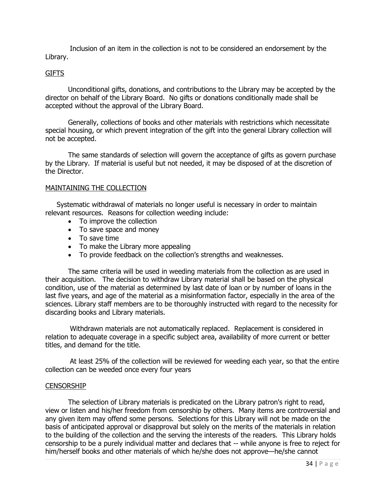Inclusion of an item in the collection is not to be considered an endorsement by the Library.

#### **GIFTS**

Unconditional gifts, donations, and contributions to the Library may be accepted by the director on behalf of the Library Board. No gifts or donations conditionally made shall be accepted without the approval of the Library Board.

Generally, collections of books and other materials with restrictions which necessitate special housing, or which prevent integration of the gift into the general Library collection will not be accepted.

The same standards of selection will govern the acceptance of gifts as govern purchase by the Library. If material is useful but not needed, it may be disposed of at the discretion of the Director.

#### MAINTAINING THE COLLECTION

Systematic withdrawal of materials no longer useful is necessary in order to maintain relevant resources. Reasons for collection weeding include:

- To improve the collection
- To save space and money
- To save time
- To make the Library more appealing
- To provide feedback on the collection's strengths and weaknesses.

The same criteria will be used in weeding materials from the collection as are used in their acquisition. The decision to withdraw Library material shall be based on the physical condition, use of the material as determined by last date of loan or by number of loans in the last five years, and age of the material as a misinformation factor, especially in the area of the sciences. Library staff members are to be thoroughly instructed with regard to the necessity for discarding books and Library materials.

Withdrawn materials are not automatically replaced. Replacement is considered in relation to adequate coverage in a specific subject area, availability of more current or better titles, and demand for the title.

At least 25% of the collection will be reviewed for weeding each year, so that the entire collection can be weeded once every four years

#### **CENSORSHIP**

The selection of Library materials is predicated on the Library patron's right to read, view or listen and his/her freedom from censorship by others. Many items are controversial and any given item may offend some persons. Selections for this Library will not be made on the basis of anticipated approval or disapproval but solely on the merits of the materials in relation to the building of the collection and the serving the interests of the readers. This Library holds censorship to be a purely individual matter and declares that -- while anyone is free to reject for him/herself books and other materials of which he/she does not approve—he/she cannot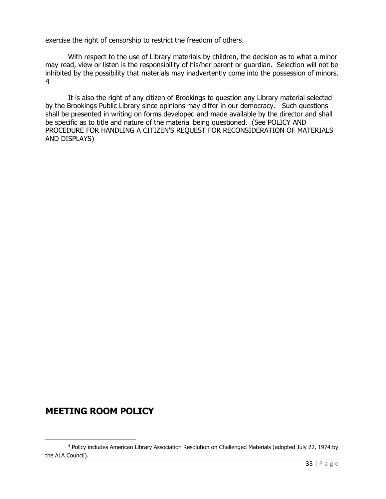exercise the right of censorship to restrict the freedom of others.

With respect to the use of Library materials by children, the decision as to what a minor may read, view or listen is the responsibility of his/her parent or guardian. Selection will not be inhibited by the possibility that materials may inadvertently come into the possession of minors. [4](#page-34-0)

It is also the right of any citizen of Brookings to question any Library material selected by the Brookings Public Library since opinions may differ in our democracy. Such questions shall be presented in writing on forms developed and made available by the director and shall be specific as to title and nature of the material being questioned. (See POLICY AND PROCEDURE FOR HANDLING A CITIZEN'S REQUEST FOR RECONSIDERATION OF MATERIALS AND DISPLAYS)

## **MEETING ROOM POLICY**

 $\overline{\phantom{a}}$ 

<span id="page-34-0"></span><sup>4</sup> Policy includes American Library Association Resolution on Challenged Materials (adopted July 22, 1974 by the ALA Council).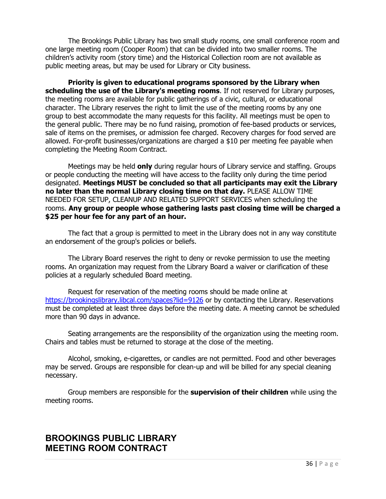The Brookings Public Library has two small study rooms, one small conference room and one large meeting room (Cooper Room) that can be divided into two smaller rooms. The children's activity room (story time) and the Historical Collection room are not available as public meeting areas, but may be used for Library or City business.

**Priority is given to educational programs sponsored by the Library when scheduling the use of the Library's meeting rooms**. If not reserved for Library purposes, the meeting rooms are available for public gatherings of a civic, cultural, or educational character. The Library reserves the right to limit the use of the meeting rooms by any one group to best accommodate the many requests for this facility. All meetings must be open to the general public. There may be no fund raising, promotion of fee-based products or services, sale of items on the premises, or admission fee charged. Recovery charges for food served are allowed. For-profit businesses/organizations are charged a \$10 per meeting fee payable when completing the Meeting Room Contract.

Meetings may be held **only** during regular hours of Library service and staffing. Groups or people conducting the meeting will have access to the facility only during the time period designated. **Meetings MUST be concluded so that all participants may exit the Library no later than the normal Library closing time on that day.** PLEASE ALLOW TIME NEEDED FOR SETUP, CLEANUP AND RELATED SUPPORT SERVICES when scheduling the rooms. **Any group or people whose gathering lasts past closing time will be charged a \$25 per hour fee for any part of an hour.**

The fact that a group is permitted to meet in the Library does not in any way constitute an endorsement of the group's policies or beliefs.

The Library Board reserves the right to deny or revoke permission to use the meeting rooms. An organization may request from the Library Board a waiver or clarification of these policies at a regularly scheduled Board meeting.

Request for reservation of the meeting rooms should be made online at <https://brookingslibrary.libcal.com/spaces?lid=9126> or by contacting the Library. Reservations must be completed at least three days before the meeting date. A meeting cannot be scheduled more than 90 days in advance.

Seating arrangements are the responsibility of the organization using the meeting room. Chairs and tables must be returned to storage at the close of the meeting.

Alcohol, smoking, e-cigarettes, or candles are not permitted. Food and other beverages may be served. Groups are responsible for clean-up and will be billed for any special cleaning necessary.

Group members are responsible for the **supervision of their children** while using the meeting rooms.

## **BROOKINGS PUBLIC LIBRARY MEETING ROOM CONTRACT**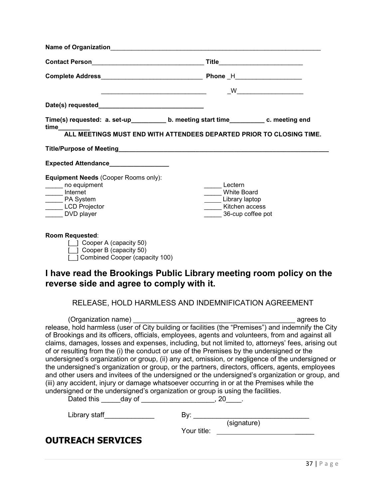| <u> 1989 - Johann Barn, mars ar breithinn ar chwaraeth a bhaile ann an t-</u>                                                                                                                                                                                                                                                                                                                                                                                                                                                                                                                                                                                                                                                                                                                                                                              | $\sqrt{W}$                                                                            |
|------------------------------------------------------------------------------------------------------------------------------------------------------------------------------------------------------------------------------------------------------------------------------------------------------------------------------------------------------------------------------------------------------------------------------------------------------------------------------------------------------------------------------------------------------------------------------------------------------------------------------------------------------------------------------------------------------------------------------------------------------------------------------------------------------------------------------------------------------------|---------------------------------------------------------------------------------------|
|                                                                                                                                                                                                                                                                                                                                                                                                                                                                                                                                                                                                                                                                                                                                                                                                                                                            |                                                                                       |
| Time(s) requested: a. set-up____________ b. meeting start time____________ c. meeting end                                                                                                                                                                                                                                                                                                                                                                                                                                                                                                                                                                                                                                                                                                                                                                  |                                                                                       |
|                                                                                                                                                                                                                                                                                                                                                                                                                                                                                                                                                                                                                                                                                                                                                                                                                                                            |                                                                                       |
| Expected Attendance_________________                                                                                                                                                                                                                                                                                                                                                                                                                                                                                                                                                                                                                                                                                                                                                                                                                       |                                                                                       |
| Equipment Needs (Cooper Rooms only):<br>______ no equipment<br>______ Internet<br>______ PA System<br>LCD Projector<br>DVD player                                                                                                                                                                                                                                                                                                                                                                                                                                                                                                                                                                                                                                                                                                                          | Lectern<br>White Board<br>Library laptop<br>_____ Kitchen access<br>36-cup coffee pot |
| Room Requested:<br>[ ] Cooper A (capacity 50)<br>[ ] Cooper B (capacity 50)<br>[ ] Combined Cooper (capacity 100)<br>I have read the Brookings Public Library meeting room policy on the<br>reverse side and agree to comply with it.                                                                                                                                                                                                                                                                                                                                                                                                                                                                                                                                                                                                                      |                                                                                       |
|                                                                                                                                                                                                                                                                                                                                                                                                                                                                                                                                                                                                                                                                                                                                                                                                                                                            | RELEASE, HOLD HARMLESS AND INDEMNIFICATION AGREEMENT                                  |
| of Brookings and its officers, officials, employees, agents and volunteers, from and against all<br>claims, damages, losses and expenses, including, but not limited to, attorneys' fees, arising out<br>of or resulting from the (i) the conduct or use of the Premises by the undersigned or the<br>undersigned's organization or group, (ii) any act, omission, or negligence of the undersigned or<br>the undersigned's organization or group, or the partners, directors, officers, agents, employees<br>and other users and invitees of the undersigned or the undersigned's organization or group, and<br>(iii) any accident, injury or damage whatsoever occurring in or at the Premises while the<br>undersigned or the undersigned's organization or group is using the facilities.<br>Dated this ______ day of ______________________, 20_____. |                                                                                       |
| Library staff______________                                                                                                                                                                                                                                                                                                                                                                                                                                                                                                                                                                                                                                                                                                                                                                                                                                |                                                                                       |
|                                                                                                                                                                                                                                                                                                                                                                                                                                                                                                                                                                                                                                                                                                                                                                                                                                                            |                                                                                       |
| <b>OUTREACH SERVICES</b>                                                                                                                                                                                                                                                                                                                                                                                                                                                                                                                                                                                                                                                                                                                                                                                                                                   |                                                                                       |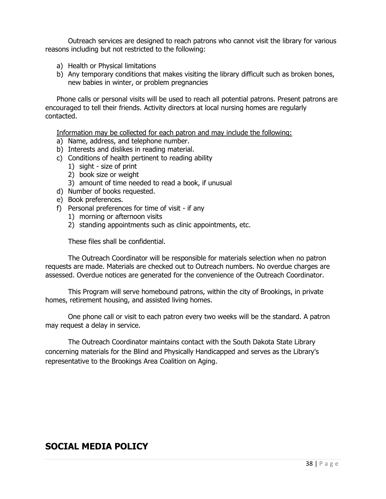Outreach services are designed to reach patrons who cannot visit the library for various reasons including but not restricted to the following:

- a) Health or Physical limitations
- b) Any temporary conditions that makes visiting the library difficult such as broken bones, new babies in winter, or problem pregnancies

Phone calls or personal visits will be used to reach all potential patrons. Present patrons are encouraged to tell their friends. Activity directors at local nursing homes are regularly contacted.

Information may be collected for each patron and may include the following:

- a) Name, address, and telephone number.
- b) Interests and dislikes in reading material.
- c) Conditions of health pertinent to reading ability
	- 1) sight size of print
	- 2) book size or weight
	- 3) amount of time needed to read a book, if unusual
- d) Number of books requested.
- e) Book preferences.
- f) Personal preferences for time of visit if any
	- 1) morning or afternoon visits
	- 2) standing appointments such as clinic appointments, etc.

These files shall be confidential.

The Outreach Coordinator will be responsible for materials selection when no patron requests are made. Materials are checked out to Outreach numbers. No overdue charges are assessed. Overdue notices are generated for the convenience of the Outreach Coordinator.

This Program will serve homebound patrons, within the city of Brookings, in private homes, retirement housing, and assisted living homes.

One phone call or visit to each patron every two weeks will be the standard. A patron may request a delay in service.

The Outreach Coordinator maintains contact with the South Dakota State Library concerning materials for the Blind and Physically Handicapped and serves as the Library's representative to the Brookings Area Coalition on Aging.

#### **SOCIAL MEDIA POLICY**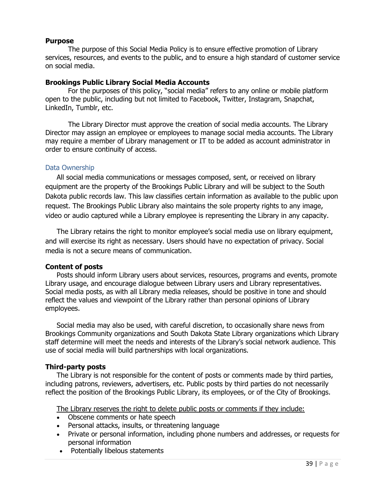#### **Purpose**

The purpose of this Social Media Policy is to ensure effective promotion of Library services, resources, and events to the public, and to ensure a high standard of customer service on social media.

#### **Brookings Public Library Social Media Accounts**

For the purposes of this policy, "social media" refers to any online or mobile platform open to the public, including but not limited to Facebook, Twitter, Instagram, Snapchat, LinkedIn, Tumblr, etc.

The Library Director must approve the creation of social media accounts. The Library Director may assign an employee or employees to manage social media accounts. The Library may require a member of Library management or IT to be added as account administrator in order to ensure continuity of access.

#### Data Ownership

All social media communications or messages composed, sent, or received on library equipment are the property of the Brookings Public Library and will be subject to the South Dakota public records law. This law classifies certain information as available to the public upon request. The Brookings Public Library also maintains the sole property rights to any image, video or audio captured while a Library employee is representing the Library in any capacity.

The Library retains the right to monitor employee's social media use on library equipment, and will exercise its right as necessary. Users should have no expectation of privacy. Social media is not a secure means of communication.

#### **Content of posts**

Posts should inform Library users about services, resources, programs and events, promote Library usage, and encourage dialogue between Library users and Library representatives. Social media posts, as with all Library media releases, should be positive in tone and should reflect the values and viewpoint of the Library rather than personal opinions of Library employees.

Social media may also be used, with careful discretion, to occasionally share news from Brookings Community organizations and South Dakota State Library organizations which Library staff determine will meet the needs and interests of the Library's social network audience. This use of social media will build partnerships with local organizations.

#### **Third-party posts**

The Library is not responsible for the content of posts or comments made by third parties, including patrons, reviewers, advertisers, etc. Public posts by third parties do not necessarily reflect the position of the Brookings Public Library, its employees, or of the City of Brookings.

The Library reserves the right to delete public posts or comments if they include:

- Obscene comments or hate speech
- Personal attacks, insults, or threatening language
- Private or personal information, including phone numbers and addresses, or requests for personal information
- Potentially libelous statements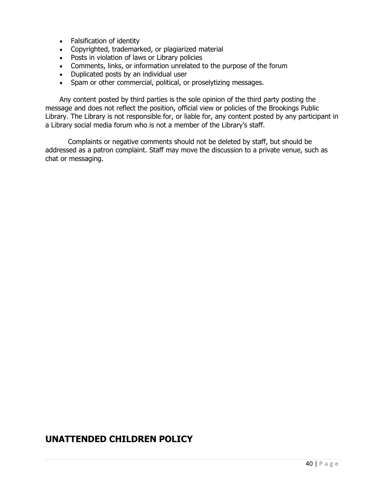- Falsification of identity
- Copyrighted, trademarked, or plagiarized material
- Posts in violation of laws or Library policies
- Comments, links, or information unrelated to the purpose of the forum
- Duplicated posts by an individual user
- Spam or other commercial, political, or proselytizing messages.

Any content posted by third parties is the sole opinion of the third party posting the message and does not reflect the position, official view or policies of the Brookings Public Library. The Library is not responsible for, or liable for, any content posted by any participant in a Library social media forum who is not a member of the Library's staff.

Complaints or negative comments should not be deleted by staff, but should be addressed as a patron complaint. Staff may move the discussion to a private venue, such as chat or messaging.

#### **UNATTENDED CHILDREN POLICY**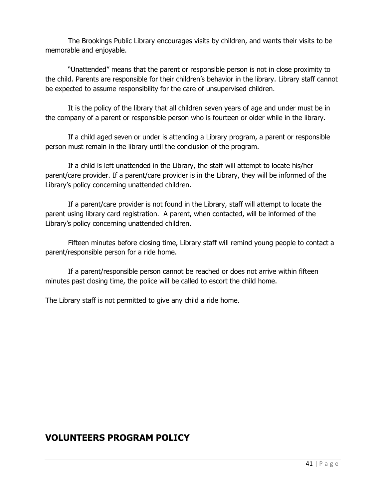The Brookings Public Library encourages visits by children, and wants their visits to be memorable and enjoyable.

"Unattended" means that the parent or responsible person is not in close proximity to the child. Parents are responsible for their children's behavior in the library. Library staff cannot be expected to assume responsibility for the care of unsupervised children.

It is the policy of the library that all children seven years of age and under must be in the company of a parent or responsible person who is fourteen or older while in the library.

If a child aged seven or under is attending a Library program, a parent or responsible person must remain in the library until the conclusion of the program.

If a child is left unattended in the Library, the staff will attempt to locate his/her parent/care provider. If a parent/care provider is in the Library, they will be informed of the Library's policy concerning unattended children.

If a parent/care provider is not found in the Library, staff will attempt to locate the parent using library card registration. A parent, when contacted, will be informed of the Library's policy concerning unattended children.

Fifteen minutes before closing time, Library staff will remind young people to contact a parent/responsible person for a ride home.

If a parent/responsible person cannot be reached or does not arrive within fifteen minutes past closing time, the police will be called to escort the child home.

The Library staff is not permitted to give any child a ride home.

## **VOLUNTEERS PROGRAM POLICY**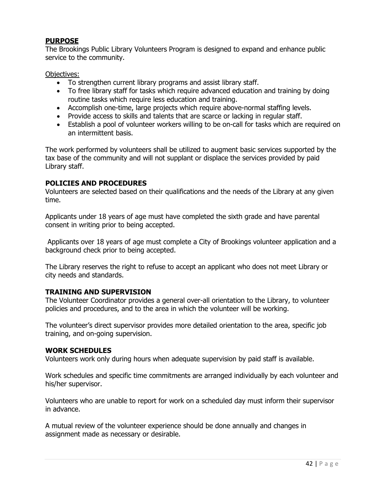#### **PURPOSE**

The Brookings Public Library Volunteers Program is designed to expand and enhance public service to the community.

#### Objectives:

- To strengthen current library programs and assist library staff.
- To free library staff for tasks which require advanced education and training by doing routine tasks which require less education and training.
- Accomplish one-time, large projects which require above-normal staffing levels.
- Provide access to skills and talents that are scarce or lacking in regular staff.
- Establish a pool of volunteer workers willing to be on-call for tasks which are required on an intermittent basis.

The work performed by volunteers shall be utilized to augment basic services supported by the tax base of the community and will not supplant or displace the services provided by paid Library staff.

#### **POLICIES AND PROCEDURES**

Volunteers are selected based on their qualifications and the needs of the Library at any given time.

Applicants under 18 years of age must have completed the sixth grade and have parental consent in writing prior to being accepted.

Applicants over 18 years of age must complete a City of Brookings volunteer application and a background check prior to being accepted.

The Library reserves the right to refuse to accept an applicant who does not meet Library or city needs and standards.

#### **TRAINING AND SUPERVISION**

The Volunteer Coordinator provides a general over-all orientation to the Library, to volunteer policies and procedures, and to the area in which the volunteer will be working.

The volunteer's direct supervisor provides more detailed orientation to the area, specific job training, and on-going supervision.

#### **WORK SCHEDULES**

Volunteers work only during hours when adequate supervision by paid staff is available.

Work schedules and specific time commitments are arranged individually by each volunteer and his/her supervisor.

Volunteers who are unable to report for work on a scheduled day must inform their supervisor in advance.

A mutual review of the volunteer experience should be done annually and changes in assignment made as necessary or desirable.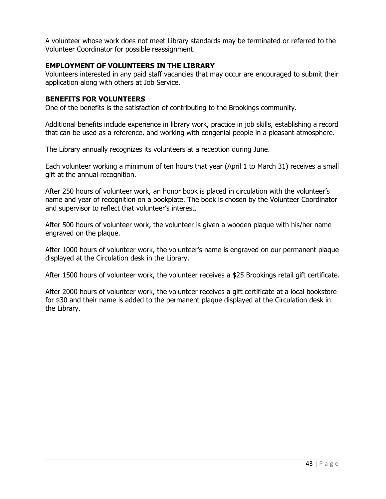A volunteer whose work does not meet Library standards may be terminated or referred to the Volunteer Coordinator for possible reassignment.

#### **EMPLOYMENT OF VOLUNTEERS IN THE LIBRARY**

Volunteers interested in any paid staff vacancies that may occur are encouraged to submit their application along with others at Job Service.

#### **BENEFITS FOR VOLUNTEERS**

One of the benefits is the satisfaction of contributing to the Brookings community.

Additional benefits include experience in library work, practice in job skills, establishing a record that can be used as a reference, and working with congenial people in a pleasant atmosphere.

The Library annually recognizes its volunteers at a reception during June.

Each volunteer working a minimum of ten hours that year (April 1 to March 31) receives a small gift at the annual recognition.

After 250 hours of volunteer work, an honor book is placed in circulation with the volunteer's name and year of recognition on a bookplate. The book is chosen by the Volunteer Coordinator and supervisor to reflect that volunteer's interest.

After 500 hours of volunteer work, the volunteer is given a wooden plaque with his/her name engraved on the plaque.

After 1000 hours of volunteer work, the volunteer's name is engraved on our permanent plaque displayed at the Circulation desk in the Library.

After 1500 hours of volunteer work, the volunteer receives a \$25 Brookings retail gift certificate.

After 2000 hours of volunteer work, the volunteer receives a gift certificate at a local bookstore for \$30 and their name is added to the permanent plaque displayed at the Circulation desk in the Library.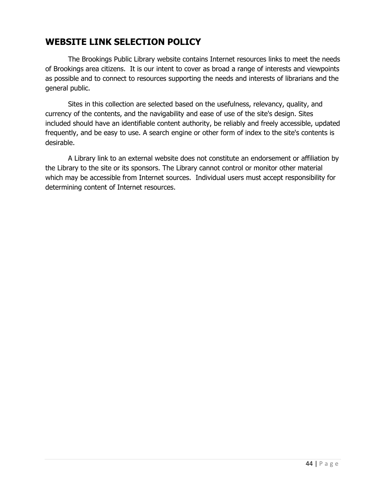## **WEBSITE LINK SELECTION POLICY**

The Brookings Public Library website contains Internet resources links to meet the needs of Brookings area citizens. It is our intent to cover as broad a range of interests and viewpoints as possible and to connect to resources supporting the needs and interests of librarians and the general public.

Sites in this collection are selected based on the usefulness, relevancy, quality, and currency of the contents, and the navigability and ease of use of the site's design. Sites included should have an identifiable content authority, be reliably and freely accessible, updated frequently, and be easy to use. A search engine or other form of index to the site's contents is desirable.

A Library link to an external website does not constitute an endorsement or affiliation by the Library to the site or its sponsors. The Library cannot control or monitor other material which may be accessible from Internet sources. Individual users must accept responsibility for determining content of Internet resources.